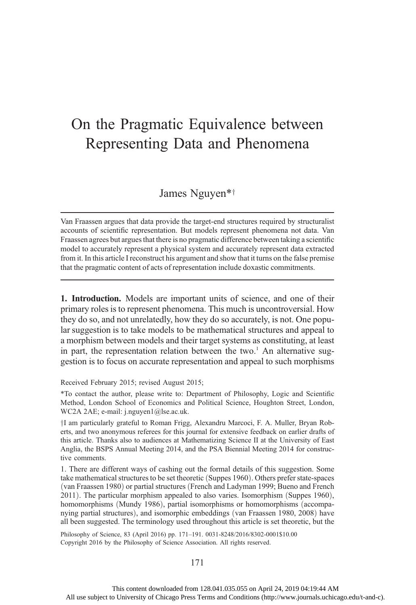# On the Pragmatic Equivalence between Representing Data and Phenomena

James Nguyen\*†

Van Fraassen argues that data provide the target-end structures required by structuralist accounts of scientific representation. But models represent phenomena not data. Van Fraassen agrees but argues that there is no pragmatic difference between taking a scientific model to accurately represent a physical system and accurately represent data extracted from it. In this article I reconstruct his argument and show that it turns on the false premise that the pragmatic content of acts of representation include doxastic commitments.

1. Introduction. Models are important units of science, and one of their primary roles is to represent phenomena. This much is uncontroversial. How they do so, and not unrelatedly, how they do so accurately, is not. One popular suggestion is to take models to be mathematical structures and appeal to a morphism between models and their target systems as constituting, at least in part, the representation relation between the two.<sup>1</sup> An alternative suggestion is to focus on accurate representation and appeal to such morphisms

Received February 2015; revised August 2015;

\*To contact the author, please write to: Department of Philosophy, Logic and Scientific Method, London School of Economics and Political Science, Houghton Street, London, WC2A 2AE; e-mail: j.nguyen1@lse.ac.uk.

<sup>†</sup>I am particularly grateful to Roman Frigg, Alexandru Marcoci, F. A. Muller, Bryan Roberts, and two anonymous referees for this journal for extensive feedback on earlier drafts of this article. Thanks also to audiences at Mathematizing Science II at the University of East Anglia, the BSPS Annual Meeting 2014, and the PSA Biennial Meeting 2014 for constructive comments.

1. There are different ways of cashing out the formal details of this suggestion. Some take mathematical structures to be set theoretic (Suppes 1960). Others prefer state-spaces (van Fraassen 1980) or partial structures (French and Ladyman 1999; Bueno and French  $2011$ ). The particular morphism appealed to also varies. Isomorphism (Suppes 1960), homomorphisms (Mundy 1986), partial isomorphisms or homomorphisms (accompanying partial structures), and isomorphic embeddings (van Fraassen 1980, 2008) have all been suggested. The terminology used throughout this article is set theoretic, but the

Philosophy of Science, 83 (April 2016) pp. 171–191. 0031-8248/2016/8302-0001\$10.00 Copyright 2016 by the Philosophy of Science Association. All rights reserved.

#### 171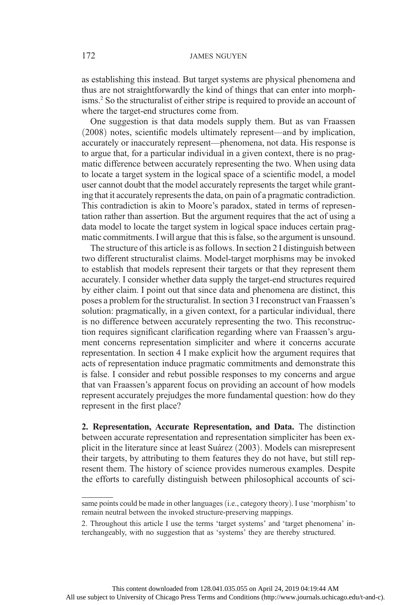as establishing this instead. But target systems are physical phenomena and thus are not straightforwardly the kind of things that can enter into morphisms.2 So the structuralist of either stripe is required to provide an account of where the target-end structures come from.

One suggestion is that data models supply them. But as van Fraassen (2008) notes, scientific models ultimately represent—and by implication, accurately or inaccurately represent—phenomena, not data. His response is to argue that, for a particular individual in a given context, there is no pragmatic difference between accurately representing the two. When using data to locate a target system in the logical space of a scientific model, a model user cannot doubt that the model accurately represents the target while grantingthat it accurately represents the data, on pain of a pragmatic contradiction. This contradiction is akin to Moore's paradox, stated in terms of representation rather than assertion. But the argument requires that the act of using a data model to locate the target system in logical space induces certain pragmatic commitments. I will argue that this is false, so the argument is unsound.

The structure of this article is as follows. In section 2 I distinguish between two different structuralist claims. Model-target morphisms may be invoked to establish that models represent their targets or that they represent them accurately. I consider whether data supply the target-end structures required by either claim. I point out that since data and phenomena are distinct, this poses a problem for the structuralist. In section 3 I reconstruct van Fraassen's solution: pragmatically, in a given context, for a particular individual, there is no difference between accurately representing the two. This reconstruction requires significant clarification regarding where van Fraassen's argument concerns representation simpliciter and where it concerns accurate representation. In section 4 I make explicit how the argument requires that acts of representation induce pragmatic commitments and demonstrate this is false. I consider and rebut possible responses to my concerns and argue that van Fraassen's apparent focus on providing an account of how models represent accurately prejudges the more fundamental question: how do they represent in the first place?

2. Representation, Accurate Representation, and Data. The distinction between accurate representation and representation simpliciter has been explicit in the literature since at least Suárez (2003). Models can misrepresent their targets, by attributing to them features they do not have, but still represent them. The history of science provides numerous examples. Despite the efforts to carefully distinguish between philosophical accounts of sci-

same points could be made in other languages (i.e., category theory). I use 'morphism' to remain neutral between the invoked structure-preserving mappings.

<sup>2.</sup> Throughout this article I use the terms 'target systems' and 'target phenomena' interchangeably, with no suggestion that as 'systems' they are thereby structured.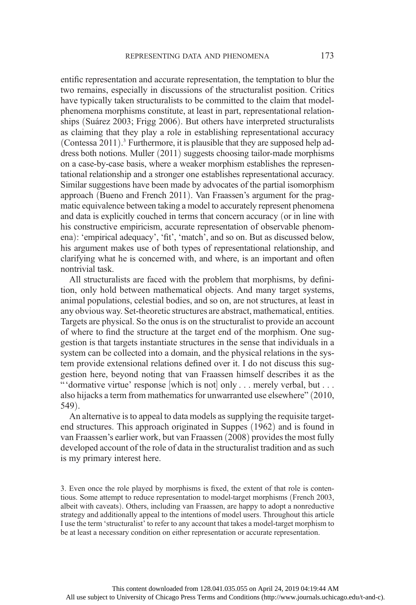entific representation and accurate representation, the temptation to blur the two remains, especially in discussions of the structuralist position. Critics have typically taken structuralists to be committed to the claim that modelphenomena morphisms constitute, at least in part, representational relationships (Suárez 2003; Frigg 2006). But others have interpreted structuralists as claiming that they play a role in establishing representational accuracy (Contessa 2011).<sup>3</sup> Furthermore, it is plausible that they are supposed help address both notions. Muller  $(2011)$  suggests choosing tailor-made morphisms on a case-by-case basis, where a weaker morphism establishes the representational relationship and a stronger one establishes representational accuracy. Similar suggestions have been made by advocates of the partial isomorphism approach (Bueno and French 2011). Van Fraassen's argument for the pragmatic equivalence between taking a model to accurately represent phenomena and data is explicitly couched in terms that concern accuracy (or in line with his constructive empiricism, accurate representation of observable phenomena): 'empirical adequacy', 'fit', 'match', and so on. But as discussed below, his argument makes use of both types of representational relationship, and clarifying what he is concerned with, and where, is an important and often nontrivial task.

All structuralists are faced with the problem that morphisms, by definition, only hold between mathematical objects. And many target systems, animal populations, celestial bodies, and so on, are not structures, at least in any obvious way. Set-theoretic structures are abstract, mathematical, entities. Targets are physical. So the onus is on the structuralist to provide an account of where to find the structure at the target end of the morphism. One suggestion is that targets instantiate structures in the sense that individuals in a system can be collected into a domain, and the physical relations in the system provide extensional relations defined over it. I do not discuss this suggestion here, beyond noting that van Fraassen himself describes it as the " 'dormative virtue' response [which is not] only . . . merely verbal, but . . . also hijacks a term from mathematics for unwarranted use elsewhere" (2010, 549).

An alternative is to appeal to data models as supplying the requisite targetend structures. This approach originated in Suppes (1962) and is found in van Fraassen's earlier work, but van Fraassen (2008) provides the most fully developed account of the role of data in the structuralist tradition and as such is my primary interest here.

<sup>3.</sup> Even once the role played by morphisms is fixed, the extent of that role is contentious. Some attempt to reduce representation to model-target morphisms (French 2003, albeit with caveats). Others, including van Fraassen, are happy to adopt a nonreductive strategy and additionally appeal to the intentions of model users. Throughout this article I use the term 'structuralist' to refer to any account that takes a model-target morphism to be at least a necessary condition on either representation or accurate representation.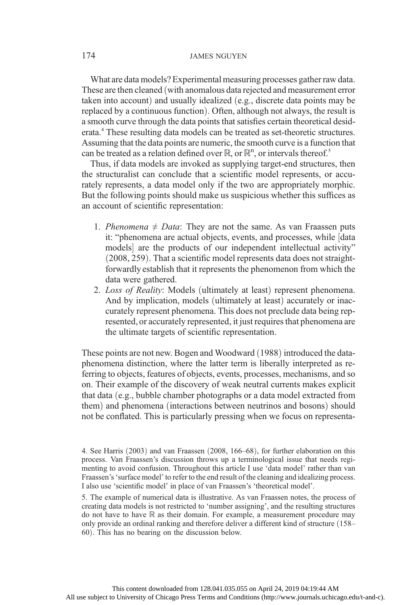## 174 JAMES NGUYEN

What are data models? Experimental measuring processes gather raw data. These are then cleaned (with anomalous data rejected and measurement error taken into account) and usually idealized (e.g., discrete data points may be replaced by a continuous function). Often, although not always, the result is a smooth curve through the data points that satisfies certain theoretical desiderata.4 These resulting data models can be treated as set-theoretic structures. Assuming that the data points are numeric, the smooth curve is a function that can be treated as a relation defined over  $\mathbb{R}$ , or  $\mathbb{R}^n$ , or intervals thereof.<sup>5</sup>

Thus, if data models are invoked as supplying target-end structures, then the structuralist can conclude that a scientific model represents, or accurately represents, a data model only if the two are appropriately morphic. But the following points should make us suspicious whether this suffices as an account of scientific representation:

- 1. *Phenomena*  $\neq$  *Data*: They are not the same. As van Fraassen puts it: "phenomena are actual objects, events, and processes, while [data] models] are the products of our independent intellectual activity"  $(2008, 259)$ . That a scientific model represents data does not straightforwardly establish that it represents the phenomenon from which the data were gathered.
- 2. Loss of Reality: Models (ultimately at least) represent phenomena. And by implication, models (ultimately at least) accurately or inaccurately represent phenomena. This does not preclude data being represented, or accurately represented, it just requires that phenomena are the ultimate targets of scientific representation.

These points are not new. Bogen and Woodward (1988) introduced the dataphenomena distinction, where the latter term is liberally interpreted as referring to objects, features of objects, events, processes, mechanisms, and so on. Their example of the discovery of weak neutral currents makes explicit that data (e.g., bubble chamber photographs or a data model extracted from them) and phenomena (interactions between neutrinos and bosons) should not be conflated. This is particularly pressing when we focus on representa-

5. The example of numerical data is illustrative. As van Fraassen notes, the process of creating data models is not restricted to 'number assigning', and the resulting structures do not have to have  $\mathbb R$  as their domain. For example, a measurement procedure may only provide an ordinal ranking and therefore deliver a different kind of structure (158– 60). This has no bearing on the discussion below.

<sup>4.</sup> See Harris (2003) and van Fraassen (2008, 166–68), for further elaboration on this process. Van Fraassen's discussion throws up a terminological issue that needs regimenting to avoid confusion. Throughout this article I use 'data model' rather than van Fraassen's 'surface model' to refer to the end result of the cleaning and idealizing process. I also use 'scientific model' in place of van Fraassen's 'theoretical model'.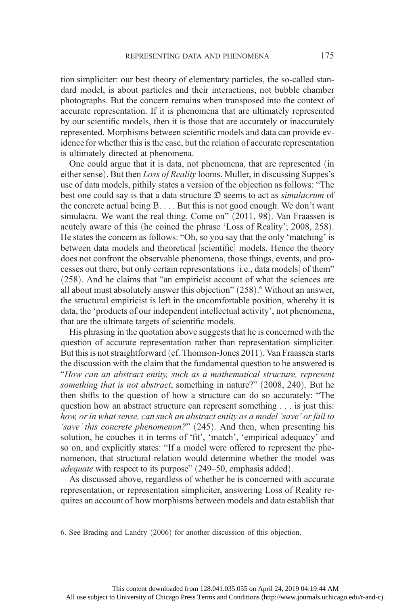tion simpliciter: our best theory of elementary particles, the so-called standard model, is about particles and their interactions, not bubble chamber photographs. But the concern remains when transposed into the context of accurate representation. If it is phenomena that are ultimately represented by our scientific models, then it is those that are accurately or inaccurately represented. Morphisms between scientific models and data can provide evidence for whether this is the case, but the relation of accurate representation is ultimately directed at phenomena.

One could argue that it is data, not phenomena, that are represented (in either sense). But then *Loss of Reality* looms. Muller, in discussing Suppes's use of data models, pithily states a version of the objection as follows: "The best one could say is that a data structure  $\mathcal{D}$  seems to act as *simulacrum* of the concrete actual being B. . . . But this is not good enough. We don't want simulacra. We want the real thing. Come on"  $(2011, 98)$ . Van Fraassen is acutely aware of this (he coined the phrase 'Loss of Reality'; 2008, 258). He states the concern as follows: "Oh, so you say that the only 'matching' is between data models and theoretical [scientific] models. Hence the theory does not confront the observable phenomena, those things, events, and processes out there, but only certain representations  $[i.e., data models]$  of them"  $(258)$ . And he claims that "an empiricist account of what the sciences are all about must absolutely answer this objection"  $(258)$ .<sup>6</sup> Without an answer, the structural empiricist is left in the uncomfortable position, whereby it is data, the 'products of our independent intellectual activity', not phenomena, that are the ultimate targets of scientific models.

His phrasing in the quotation above suggests that he is concerned with the question of accurate representation rather than representation simpliciter. But this is not straightforward (cf. Thomson-Jones 2011). Van Fraassen starts the discussion with the claim that the fundamental question to be answered is "How can an abstract entity, such as a mathematical structure, represent something that is not abstract, something in nature?" (2008, 240). But he then shifts to the question of how a structure can do so accurately: "The question how an abstract structure can represent something . . . is just this: how, or in what sense, can such an abstract entity as a model 'save' or fail to 'save' this concrete phenomenon?" (245). And then, when presenting his solution, he couches it in terms of 'fit', 'match', 'empirical adequacy' and so on, and explicitly states: "If a model were offered to represent the phenomenon, that structural relation would determine whether the model was adequate with respect to its purpose" (249–50, emphasis added).

As discussed above, regardless of whether he is concerned with accurate representation, or representation simpliciter, answering Loss of Reality requires an account of how morphisms between models and data establish that

6. See Brading and Landry (2006) for another discussion of this objection.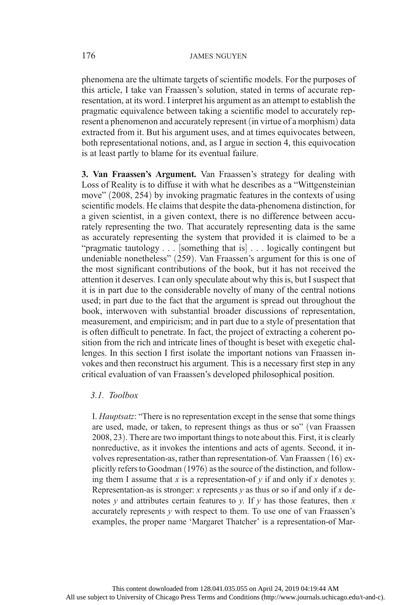## 176 JAMES NGUYEN

phenomena are the ultimate targets of scientific models. For the purposes of this article, I take van Fraassen's solution, stated in terms of accurate representation, at its word. I interpret his argument as an attempt to establish the pragmatic equivalence between taking a scientific model to accurately represent a phenomenon and accurately represent (in virtue of a morphism) data extracted from it. But his argument uses, and at times equivocates between, both representational notions, and, as I argue in section 4, this equivocation is at least partly to blame for its eventual failure.

3. Van Fraassen's Argument. Van Fraassen's strategy for dealing with Loss of Reality is to diffuse it with what he describes as a "Wittgensteinian move"  $(2008, 254)$  by invoking pragmatic features in the contexts of using scientific models. He claims that despite the data-phenomena distinction, for a given scientist, in a given context, there is no difference between accurately representing the two. That accurately representing data is the same as accurately representing the system that provided it is claimed to be a "pragmatic tautology . . . [something that is] . . . logically contingent but undeniable nonetheless" (259). Van Fraassen's argument for this is one of the most significant contributions of the book, but it has not received the attention it deserves. I can only speculate about why this is, but I suspect that it is in part due to the considerable novelty of many of the central notions used; in part due to the fact that the argument is spread out throughout the book, interwoven with substantial broader discussions of representation, measurement, and empiricism; and in part due to a style of presentation that is often difficult to penetrate. In fact, the project of extracting a coherent position from the rich and intricate lines of thought is beset with exegetic challenges. In this section I first isolate the important notions van Fraassen invokes and then reconstruct his argument. This is a necessary first step in any critical evaluation of van Fraassen's developed philosophical position.

## 3.1. Toolbox

I. Hauptsatz: "There is no representation except in the sense that some things are used, made, or taken, to represent things as thus or so" (van Fraassen 2008, 23). There are two important things to note about this. First, it is clearly nonreductive, as it invokes the intentions and acts of agents. Second, it involves representation-as, rather than representation-of. Van Fraassen  $(16)$  explicitly refers to Goodman  $(1976)$  as the source of the distinction, and following them I assume that x is a representation-of y if and only if x denotes y. Representation-as is stronger: x represents y as thus or so if and only if x denotes y and attributes certain features to y. If y has those features, then x accurately represents  $\nu$  with respect to them. To use one of van Fraassen's examples, the proper name 'Margaret Thatcher' is a representation-of Mar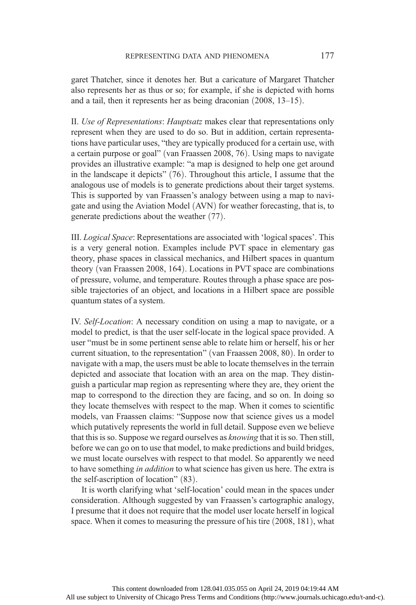garet Thatcher, since it denotes her. But a caricature of Margaret Thatcher also represents her as thus or so; for example, if she is depicted with horns and a tail, then it represents her as being draconian  $(2008, 13-15)$ .

II. Use of Representations: Hauptsatz makes clear that representations only represent when they are used to do so. But in addition, certain representations have particular uses, "they are typically produced for a certain use, with a certain purpose or goal" (van Fraassen 2008, 76). Using maps to navigate provides an illustrative example: "a map is designed to help one get around in the landscape it depicts"  $(76)$ . Throughout this article, I assume that the analogous use of models is to generate predictions about their target systems. This is supported by van Fraassen's analogy between using a map to navigate and using the Aviation Model (AVN) for weather forecasting, that is, to generate predictions about the weather  $(77)$ .

III. Logical Space: Representations are associated with 'logical spaces'. This is a very general notion. Examples include PVT space in elementary gas theory, phase spaces in classical mechanics, and Hilbert spaces in quantum theory (van Fraassen 2008, 164). Locations in PVT space are combinations of pressure, volume, and temperature. Routes through a phase space are possible trajectories of an object, and locations in a Hilbert space are possible quantum states of a system.

IV. Self-Location: A necessary condition on using a map to navigate, or a model to predict, is that the user self-locate in the logical space provided. A user "must be in some pertinent sense able to relate him or herself, his or her current situation, to the representation" (van Fraassen 2008, 80). In order to navigate with a map, the users must be able to locate themselves in the terrain depicted and associate that location with an area on the map. They distinguish a particular map region as representing where they are, they orient the map to correspond to the direction they are facing, and so on. In doing so they locate themselves with respect to the map. When it comes to scientific models, van Fraassen claims: "Suppose now that science gives us a model which putatively represents the world in full detail. Suppose even we believe that this is so. Suppose we regard ourselves as knowing that it is so. Then still, before we can go on to use that model, to make predictions and build bridges, we must locate ourselves with respect to that model. So apparently we need to have something in addition to what science has given us here. The extra is the self-ascription of location"  $(83)$ .

It is worth clarifying what 'self-location' could mean in the spaces under consideration. Although suggested by van Fraassen's cartographic analogy, I presume that it does not require that the model user locate herself in logical space. When it comes to measuring the pressure of his tire  $(2008, 181)$ , what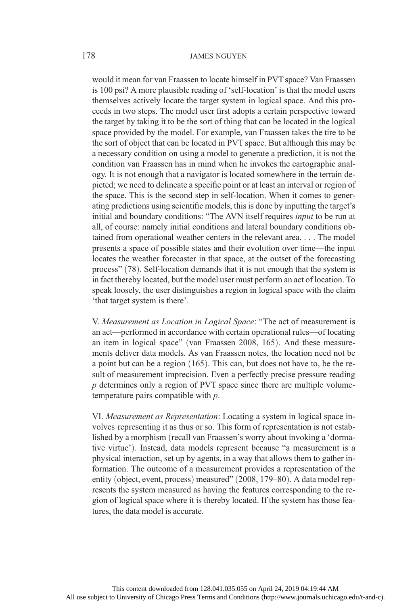#### 178 JAMES NGUYEN

would it mean for van Fraassen to locate himself in PVT space? Van Fraassen is 100 psi? A more plausible reading of 'self-location' is that the model users themselves actively locate the target system in logical space. And this proceeds in two steps. The model user first adopts a certain perspective toward the target by taking it to be the sort of thing that can be located in the logical space provided by the model. For example, van Fraassen takes the tire to be the sort of object that can be located in PVT space. But although this may be a necessary condition on using a model to generate a prediction, it is not the condition van Fraassen has in mind when he invokes the cartographic analogy. It is not enough that a navigator is located somewhere in the terrain depicted; we need to delineate a specific point or at least an interval or region of the space. This is the second step in self-location. When it comes to generating predictions using scientific models, this is done by inputting the target's initial and boundary conditions: "The AVN itself requires input to be run at all, of course: namely initial conditions and lateral boundary conditions obtained from operational weather centers in the relevant area. . . . The model presents a space of possible states and their evolution over time—the input locates the weather forecaster in that space, at the outset of the forecasting process" (78). Self-location demands that it is not enough that the system is in fact thereby located, but the model user must perform an act of location. To speak loosely, the user distinguishes a region in logical space with the claim 'that target system is there'.

V. Measurement as Location in Logical Space: "The act of measurement is an act—performed in accordance with certain operational rules—of locating an item in logical space" (van Fraassen 2008, 165). And these measurements deliver data models. As van Fraassen notes, the location need not be a point but can be a region  $(165)$ . This can, but does not have to, be the result of measurement imprecision. Even a perfectly precise pressure reading  $p$  determines only a region of PVT space since there are multiple volumetemperature pairs compatible with p.

VI. Measurement as Representation: Locating a system in logical space involves representing it as thus or so. This form of representation is not established by a morphism (recall van Fraassen's worry about invoking a 'dormative virtue'). Instead, data models represent because "a measurement is a physical interaction, set up by agents, in a way that allows them to gather information. The outcome of a measurement provides a representation of the entity (object, event, process) measured" (2008, 179–80). A data model represents the system measured as having the features corresponding to the region of logical space where it is thereby located. If the system has those features, the data model is accurate.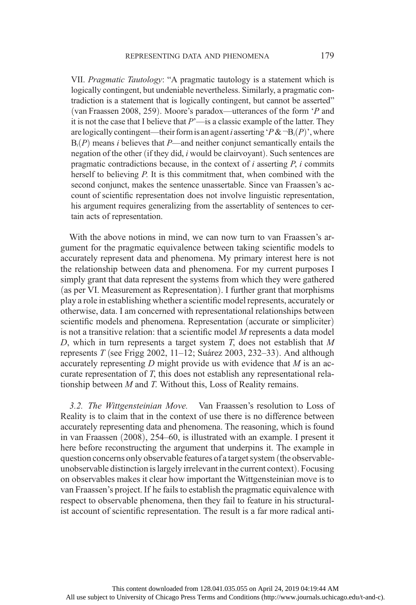VII. Pragmatic Tautology: "A pragmatic tautology is a statement which is logically contingent, but undeniable nevertheless. Similarly, a pragmatic contradiction is a statement that is logically contingent, but cannot be asserted" (van Fraassen 2008, 259). Moore's paradox—utterances of the form 'P and it is not the case that I believe that  $P'$ —is a classic example of the latter. They are logically contingent—their form is an agent *i* asserting ' $P \& \neg B_i(P)$ ', where  $B_i(P)$  means *i* believes that *P*—and neither conjunct semantically entails the negation of the other  $(i$  f they did, i would be clairvoyant). Such sentences are pragmatic contradictions because, in the context of  $i$  asserting  $P$ ,  $i$  commits herself to believing P. It is this commitment that, when combined with the second conjunct, makes the sentence unassertable. Since van Fraassen's account of scientific representation does not involve linguistic representation, his argument requires generalizing from the assertablity of sentences to certain acts of representation.

With the above notions in mind, we can now turn to van Fraassen's argument for the pragmatic equivalence between taking scientific models to accurately represent data and phenomena. My primary interest here is not the relationship between data and phenomena. For my current purposes I simply grant that data represent the systems from which they were gathered (as per VI. Measurement as Representation). I further grant that morphisms play a role in establishing whether a scientific model represents, accurately or otherwise, data. I am concerned with representational relationships between scientific models and phenomena. Representation (accurate or simpliciter) is not a transitive relation: that a scientific model M represents a data model D, which in turn represents a target system T, does not establish that  $M$ represents T (see Frigg 2002, 11–12; Suárez 2003, 232–33). And although accurately representing  $D$  might provide us with evidence that  $M$  is an accurate representation of T, this does not establish any representational relationship between M and T. Without this, Loss of Reality remains.

3.2. The Wittgensteinian Move. Van Fraassen's resolution to Loss of Reality is to claim that in the context of use there is no difference between accurately representing data and phenomena. The reasoning, which is found in van Fraassen  $(2008)$ , 254–60, is illustrated with an example. I present it here before reconstructing the argument that underpins it. The example in question concerns only observable features of a target system (the observableunobservable distinction is largely irrelevant in the current context). Focusing on observables makes it clear how important the Wittgensteinian move is to van Fraassen's project. If he fails to establish the pragmatic equivalence with respect to observable phenomena, then they fail to feature in his structuralist account of scientific representation. The result is a far more radical anti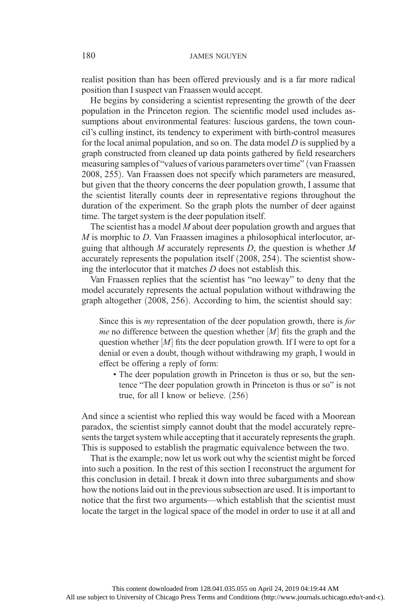realist position than has been offered previously and is a far more radical position than I suspect van Fraassen would accept.

He begins by considering a scientist representing the growth of the deer population in the Princeton region. The scientific model used includes assumptions about environmental features: luscious gardens, the town council's culling instinct, its tendency to experiment with birth-control measures for the local animal population, and so on. The data model  $D$  is supplied by a graph constructed from cleaned up data points gathered by field researchers measuring samples of "values of various parameters over time" (van Fraassen 2008, 255). Van Fraassen does not specify which parameters are measured, but given that the theory concerns the deer population growth, I assume that the scientist literally counts deer in representative regions throughout the duration of the experiment. So the graph plots the number of deer against time. The target system is the deer population itself.

The scientist has a model  $M$  about deer population growth and argues that  $M$  is morphic to  $D$ . Van Fraassen imagines a philosophical interlocutor, arguing that although  $M$  accurately represents  $D$ , the question is whether  $M$ accurately represents the population itself  $(2008, 254)$ . The scientist showing the interlocutor that it matches D does not establish this.

Van Fraassen replies that the scientist has "no leeway" to deny that the model accurately represents the actual population without withdrawing the graph altogether (2008, 256). According to him, the scientist should say:

Since this is my representation of the deer population growth, there is for *me* no difference between the question whether  $[M]$  fits the graph and the question whether  $[M]$  fits the deer population growth. If I were to opt for a denial or even a doubt, though without withdrawing my graph, I would in effect be offering a reply of form:

• The deer population growth in Princeton is thus or so, but the sentence "The deer population growth in Princeton is thus or so" is not true, for all I know or believe.  $(256)$ 

And since a scientist who replied this way would be faced with a Moorean paradox, the scientist simply cannot doubt that the model accurately represents the target system while accepting that it accurately represents the graph. This is supposed to establish the pragmatic equivalence between the two.

That is the example; now let us work out why the scientist might be forced into such a position. In the rest of this section I reconstruct the argument for this conclusion in detail. I break it down into three subarguments and show how the notions laid out in the previous subsection are used. It is important to notice that the first two arguments—which establish that the scientist must locate the target in the logical space of the model in order to use it at all and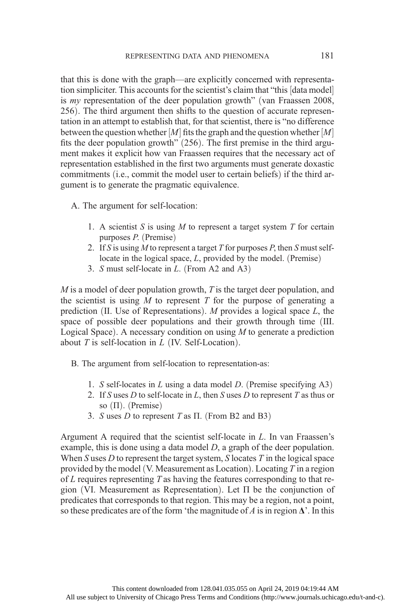that this is done with the graph—are explicitly concerned with representation simpliciter. This accounts for the scientist's claim that "this [data model] is  $my$  representation of the deer population growth" (van Fraassen 2008, 256). The third argument then shifts to the question of accurate representation in an attempt to establish that, for that scientist, there is "no difference between the question whether  $[M]$  fits the graph and the question whether  $[M]$ fits the deer population growth"  $(256)$ . The first premise in the third argument makes it explicit how van Fraassen requires that the necessary act of representation established in the first two arguments must generate doxastic commitments (i.e., commit the model user to certain beliefs) if the third argument is to generate the pragmatic equivalence.

A. The argument for self-location:

- 1. A scientist  $S$  is using  $M$  to represent a target system  $T$  for certain purposes  $P$ . (Premise)
- 2. If S is using M to represent a target T for purposes P, then S must selflocate in the logical space,  $L$ , provided by the model. (Premise)
- 3. S must self-locate in  $L$ . (From A2 and A3)

 $M$  is a model of deer population growth,  $T$  is the target deer population, and the scientist is using  $M$  to represent  $T$  for the purpose of generating a prediction  $(II.$  Use of Representations). M provides a logical space L, the space of possible deer populations and their growth through time (III. Logical Space). A necessary condition on using  $M$  to generate a prediction about  $T$  is self-location in  $L$  (IV. Self-Location).

- B. The argument from self-location to representation-as:
	- 1. S self-locates in L using a data model D. (Premise specifying  $A3$ )
	- 2. If S uses D to self-locate in L, then S uses D to represent T as thus or so  $(\Pi)$ . (Premise)
	- 3. S uses D to represent T as  $\Pi$ . (From B2 and B3)

Argument A required that the scientist self-locate in L. In van Fraassen's example, this is done using a data model D, a graph of the deer population. When S uses D to represent the target system, S locates  $T$  in the logical space provided by the model (V. Measurement as Location). Locating  $T$  in a region of  $L$  requires representing  $T$  as having the features corresponding to that region (VI. Measurement as Representation). Let  $\Pi$  be the conjunction of predicates that corresponds to that region. This may be a region, not a point, so these predicates are of the form 'the magnitude of A is in region  $\Delta$ '. In this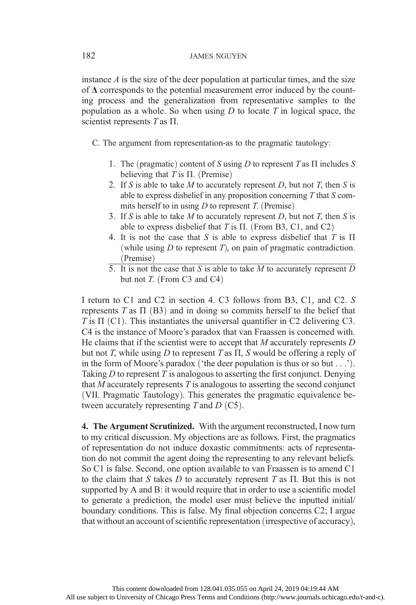instance  $A$  is the size of the deer population at particular times, and the size of Δ corresponds to the potential measurement error induced by the counting process and the generalization from representative samples to the population as a whole. So when using  $D$  to locate  $T$  in logical space, the scientist represents  $T$  as  $\Pi$ .

C. The argument from representation-as to the pragmatic tautology:

- 1. The (pragmatic) content of S using D to represent T as  $\Pi$  includes S believing that T is  $\Pi$ . (Premise)
- 2. If S is able to take M to accurately represent D, but not T, then S is able to express disbelief in any proposition concerning  $T$  that  $S$  commits herself to in using  $D$  to represent  $T$ . (Premise)
- 3. If S is able to take M to accurately represent D, but not T, then S is able to express disbelief that T is  $\Pi$ . (From B3, C1, and C2)
- 4. It is not the case that S is able to express disbelief that T is  $\Pi$ (while using  $D$  to represent  $T$ ), on pain of pragmatic contradiction. (Premise)
- 5. It is not the case that S is able to take M to accurately represent  $\overline{D}$ but not  $T$ . (From C3 and C4)

I return to C1 and C2 in section 4. C3 follows from B3, C1, and C2. S represents  $T$  as  $\Pi$  (B3) and in doing so commits herself to the belief that T is  $\Pi$  (C1). This instantiates the universal quantifier in C2 delivering C3. C4 is the instance of Moore's paradox that van Fraassen is concerned with. He claims that if the scientist were to accept that  $M$  accurately represents  $D$ but not T, while using D to represent T as  $\Pi$ , S would be offering a reply of in the form of Moore's paradox ('the deer population is thus or so but  $\dots$ '). Taking  $D$  to represent  $T$  is analogous to asserting the first conjunct. Denying that  $M$  accurately represents  $T$  is analogous to asserting the second conjunct (VII. Pragmatic Tautology). This generates the pragmatic equivalence between accurately representing  $T$  and  $D$  (C5).

4. The Argument Scrutinized. With the argument reconstructed, I now turn to my critical discussion. My objections are as follows. First, the pragmatics of representation do not induce doxastic commitments: acts of representation do not commit the agent doing the representing to any relevant beliefs. So C1 is false. Second, one option available to van Fraassen is to amend C1 to the claim that S takes D to accurately represent T as  $\Pi$ . But this is not supported by A and B: it would require that in order to use a scientific model to generate a prediction, the model user must believe the inputted initial/ boundary conditions. This is false. My final objection concerns C2; I argue that without an account of scientific representation (irrespective of accuracy),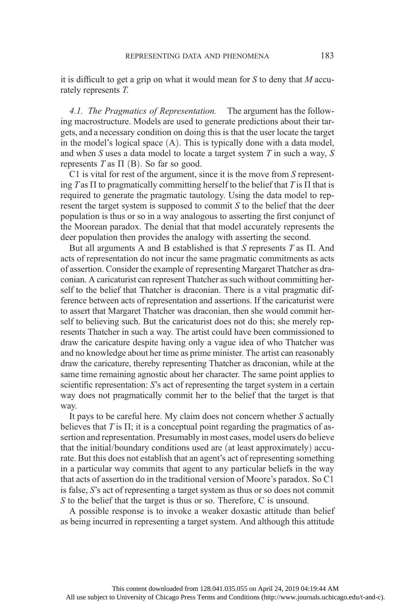it is difficult to get a grip on what it would mean for S to deny that M accurately represents T.

4.1. The Pragmatics of Representation. The argument has the following macrostructure. Models are used to generate predictions about their targets, and a necessary condition on doing this is that the user locate the target in the model's logical space  $(A)$ . This is typically done with a data model, and when  $S$  uses a data model to locate a target system  $T$  in such a way,  $S$ represents T as  $\Pi$  (B). So far so good.

C1 is vital for rest of the argument, since it is the move from S representing T as  $\Pi$  to pragmatically committing herself to the belief that T is  $\Pi$  that is required to generate the pragmatic tautology. Using the data model to represent the target system is supposed to commit  $S$  to the belief that the deer population is thus or so in a way analogous to asserting the first conjunct of the Moorean paradox. The denial that that model accurately represents the deer population then provides the analogy with asserting the second.

But all arguments A and B established is that S represents  $T$  as  $\Pi$ . And acts of representation do not incur the same pragmatic commitments as acts of assertion. Consider the example of representing Margaret Thatcher as draconian. A caricaturist can represent Thatcher as such without committing herself to the belief that Thatcher is draconian. There is a vital pragmatic difference between acts of representation and assertions. If the caricaturist were to assert that Margaret Thatcher was draconian, then she would commit herself to believing such. But the caricaturist does not do this; she merely represents Thatcher in such a way. The artist could have been commissioned to draw the caricature despite having only a vague idea of who Thatcher was and no knowledge about her time as prime minister. The artist can reasonably draw the caricature, thereby representing Thatcher as draconian, while at the same time remaining agnostic about her character. The same point applies to scientific representation: S's act of representing the target system in a certain way does not pragmatically commit her to the belief that the target is that way.

It pays to be careful here. My claim does not concern whether  $S$  actually believes that T is  $\Pi$ ; it is a conceptual point regarding the pragmatics of assertion and representation. Presumably in most cases, model users do believe that the initial/boundary conditions used are (at least approximately) accurate. But this does not establish that an agent's act of representing something in a particular way commits that agent to any particular beliefs in the way that acts of assertion do in the traditional version of Moore's paradox. So C1 is false, S's act of representing a target system as thus or so does not commit S to the belief that the target is thus or so. Therefore, C is unsound.

A possible response is to invoke a weaker doxastic attitude than belief as being incurred in representing a target system. And although this attitude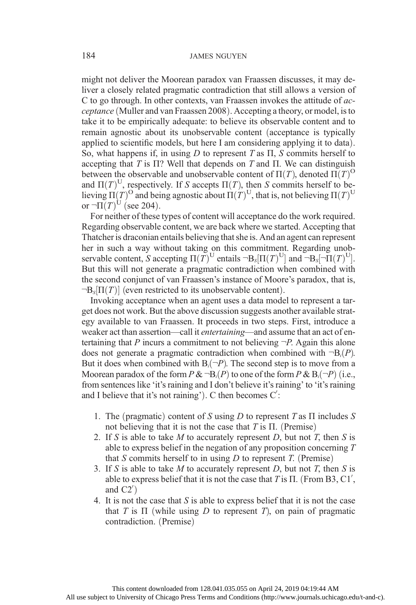might not deliver the Moorean paradox van Fraassen discusses, it may deliver a closely related pragmatic contradiction that still allows a version of C to go through. In other contexts, van Fraassen invokes the attitude of acceptance (Muller and van Fraassen 2008). Accepting a theory, or model, is to take it to be empirically adequate: to believe its observable content and to remain agnostic about its unobservable content (acceptance is typically applied to scientific models, but here I am considering applying it to data). So, what happens if, in using D to represent T as  $\Pi$ , S commits herself to accepting that T is Π? Well that depends on T and Π. We can distinguish between the observable and unobservable content of  $\Pi(T)$ , denoted  $\Pi(T)$ <sup>O</sup> and  $\Pi(T)^{U}$ , respectively. If S accepts  $\Pi(T)$ , then S commits herself to believing  $\Pi(T)$ <sup>O</sup> and being agnostic about  $\Pi(T)$ <sup>U</sup>, that is, not believing  $\Pi(T)$ <sup>U</sup> or  $\neg \Pi(T)^U$  (see 204).

For neither of these types of content will acceptance do the work required. Regarding observable content, we are back where we started. Accepting that Thatcher is draconian entails believing that she is. And an agent can represent her in such a way without taking on this commitment. Regarding unobservable content, S accepting  $\Pi(T)^{U}$  entails  $\neg B_s[\Pi(T)^{U}]$  and  $\neg B_s[\neg \Pi(T)^{U}]$ . But this will not generate a pragmatic contradiction when combined with the second conjunct of van Fraassen's instance of Moore's paradox, that is,  $\neg B_s[\Pi(T)]$  (even restricted to its unobservable content).

Invoking acceptance when an agent uses a data model to represent a target does not work. But the above discussion suggests another available strategy available to van Fraassen. It proceeds in two steps. First, introduce a weaker act than assertion—call it *entertaining*—and assume that an act of entertaining that P incurs a commitment to not believing  $\neg P$ . Again this alone does not generate a pragmatic contradiction when combined with  $\neg B_i(P)$ . But it does when combined with  $B_i(\neg P)$ . The second step is to move from a Moorean paradox of the form  $P \& \neg B_i(P)$  to one of the form  $P \& B_i(\neg P)$  (i.e., from sentences like 'it's raining and I don't believe it's raining' to 'it's raining and I believe that it's not raining'). C then becomes  $C'$ :

- 1. The (pragmatic) content of S using D to represent T as  $\Pi$  includes S not believing that it is not the case that T is  $\Pi$ . (Premise)
- 2. If S is able to take M to accurately represent D, but not T, then S is able to express belief in the negation of any proposition concerning T that S commits herself to in using D to represent T. (Premise)
- 3. If S is able to take M to accurately represent D, but not T, then S is able to express belief that it is not the case that T is  $\Pi$ . (From B3, C1', and  $C2'$ )
- 4. It is not the case that  $S$  is able to express belief that it is not the case that T is  $\Pi$  (while using D to represent T), on pain of pragmatic contradiction. (Premise)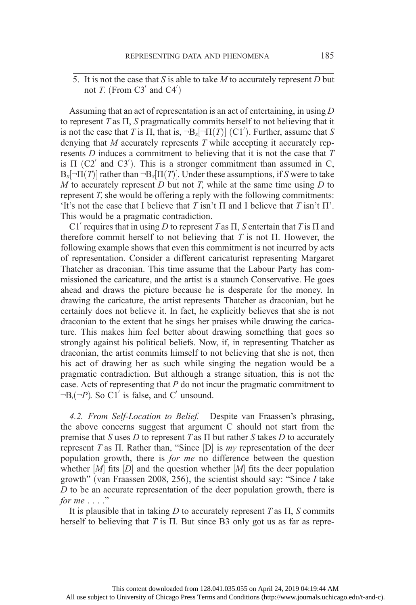5. It is not the case that S is able to take  $M$  to accurately represent  $D$  but not *T*. (From C3<sup> $\prime$ </sup> and C4<sup> $\prime$ </sup>)

Assuming that an act of representation is an act of entertaining, in using D to represent  $T$  as  $\Pi$ ,  $S$  pragmatically commits herself to not believing that it is not the case that T is  $\Pi$ , that is,  $\neg B_s[\neg T(T)]$  (C1'). Further, assume that S denying that  $M$  accurately represents  $T$  while accepting it accurately represents  $D$  induces a commitment to believing that it is not the case that  $T$ is  $\Pi$  (C2<sup>'</sup> and C3<sup>'</sup>). This is a stronger commitment than assumed in C,  $B_s[\neg \Pi(T)]$  rather than  $\neg B_s[\Pi(T)]$ . Under these assumptions, if S were to take M to accurately represent D but not T, while at the same time using  $D$  to represent T, she would be offering a reply with the following commitments: 'It's not the case that I believe that  $T$  isn't  $\Pi$  and I believe that  $T$  isn't  $\Pi'$ . This would be a pragmatic contradiction.

C1' requires that in using D to represent T as  $\Pi$ , S entertain that T is  $\Pi$  and therefore commit herself to not believing that  $T$  is not  $\Pi$ . However, the following example shows that even this commitment is not incurred by acts of representation. Consider a different caricaturist representing Margaret Thatcher as draconian. This time assume that the Labour Party has commissioned the caricature, and the artist is a staunch Conservative. He goes ahead and draws the picture because he is desperate for the money. In drawing the caricature, the artist represents Thatcher as draconian, but he certainly does not believe it. In fact, he explicitly believes that she is not draconian to the extent that he sings her praises while drawing the caricature. This makes him feel better about drawing something that goes so strongly against his political beliefs. Now, if, in representing Thatcher as draconian, the artist commits himself to not believing that she is not, then his act of drawing her as such while singing the negation would be a pragmatic contradiction. But although a strange situation, this is not the case. Acts of representing that  $P$  do not incur the pragmatic commitment to  $\neg B_i(\neg P)$ . So C1' is false, and C' unsound.

4.2. From Self-Location to Belief. Despite van Fraassen's phrasing, the above concerns suggest that argument C should not start from the premise that S uses D to represent T as  $\Pi$  but rather S takes D to accurately represent T as  $\Pi$ . Rather than, "Since  $[D]$  is my representation of the deer population growth, there is for me no difference between the question whether  $[M]$  fits  $[D]$  and the question whether  $[M]$  fits the deer population growth" (van Fraassen 2008, 256), the scientist should say: "Since I take D to be an accurate representation of the deer population growth, there is for  $me \dots$ ."

It is plausible that in taking  $D$  to accurately represent  $T$  as  $\Pi$ ,  $S$  commits herself to believing that T is  $\Pi$ . But since B3 only got us as far as repre-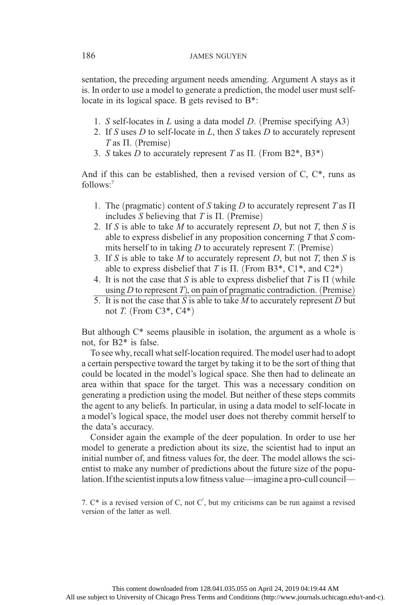## 186 JAMES NGUYEN

sentation, the preceding argument needs amending. Argument A stays as it is. In order to use a model to generate a prediction, the model user must selflocate in its logical space. B gets revised to B<sup>\*</sup>:

- 1. S self-locates in L using a data model D. (Premise specifying  $A3$ )
- 2. If S uses  $D$  to self-locate in  $L$ , then  $S$  takes  $D$  to accurately represent T as  $\Pi$ . (Premise)
- 3. S takes D to accurately represent T as  $\Pi$ . (From B2\*, B3\*)

And if this can be established, then a revised version of  $C, C^*$ , runs as  $follows<sup>7</sup>$ 

- 1. The (pragmatic) content of S taking D to accurately represent T as  $\Pi$ includes S believing that T is  $\Pi$ . (Premise)
- 2. If S is able to take M to accurately represent D, but not T, then S is able to express disbelief in any proposition concerning  $T$  that  $S$  commits herself to in taking  $D$  to accurately represent  $T$ . (Premise)
- 3. If S is able to take M to accurately represent D, but not T, then S is able to express disbelief that T is  $\Pi$ . (From B3<sup>\*</sup>, C1<sup>\*</sup>, and C2<sup>\*</sup>)
- 4. It is not the case that S is able to express disbelief that T is  $\Pi$  (while using D to represent T), on pain of pragmatic contradiction. (Premise)
- 5. It is not the case that S is able to take M to accurately represent D but not T. (From C3 $^*$ , C4 $^*$ )

But although  $C^*$  seems plausible in isolation, the argument as a whole is not, for B2\* is false.

To see why, recall what self-location required. The model user had to adopt a certain perspective toward the target by taking it to be the sort of thing that could be located in the model's logical space. She then had to delineate an area within that space for the target. This was a necessary condition on generating a prediction using the model. But neither of these steps commits the agent to any beliefs. In particular, in using a data model to self-locate in a model's logical space, the model user does not thereby commit herself to the data's accuracy.

Consider again the example of the deer population. In order to use her model to generate a prediction about its size, the scientist had to input an initial number of, and fitness values for, the deer. The model allows the scientist to make any number of predictions about the future size of the population. If the scientist inputs a low fitness value—imagine a pro-cull council—

7.  $C^*$  is a revised version of C, not C', but my criticisms can be run against a revised version of the latter as well.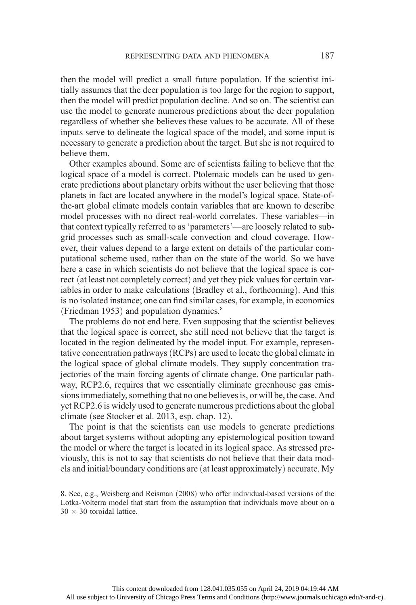then the model will predict a small future population. If the scientist initially assumes that the deer population is too large for the region to support, then the model will predict population decline. And so on. The scientist can use the model to generate numerous predictions about the deer population regardless of whether she believes these values to be accurate. All of these inputs serve to delineate the logical space of the model, and some input is necessary to generate a prediction about the target. But she is not required to believe them.

Other examples abound. Some are of scientists failing to believe that the logical space of a model is correct. Ptolemaic models can be used to generate predictions about planetary orbits without the user believing that those planets in fact are located anywhere in the model's logical space. State-ofthe-art global climate models contain variables that are known to describe model processes with no direct real-world correlates. These variables—in that context typically referred to as 'parameters'—are loosely related to subgrid processes such as small-scale convection and cloud coverage. However, their values depend to a large extent on details of the particular computational scheme used, rather than on the state of the world. So we have here a case in which scientists do not believe that the logical space is correct (at least not completely correct) and yet they pick values for certain variables in order to make calculations (Bradley et al., forthcoming). And this is no isolated instance; one can find similar cases, for example, in economics (Friedman 1953) and population dynamics. $8$ 

The problems do not end here. Even supposing that the scientist believes that the logical space is correct, she still need not believe that the target is located in the region delineated by the model input. For example, representative concentration pathways (RCPs) are used to locate the global climate in the logical space of global climate models. They supply concentration trajectories of the main forcing agents of climate change. One particular pathway, RCP2.6, requires that we essentially eliminate greenhouse gas emissions immediately, something that no one believes is, or will be, the case. And yet RCP2.6 is widely used to generate numerous predictions about the global climate (see Stocker et al. 2013, esp. chap. 12).

The point is that the scientists can use models to generate predictions about target systems without adopting any epistemological position toward the model or where the target is located in its logical space. As stressed previously, this is not to say that scientists do not believe that their data models and initial/boundary conditions are (at least approximately) accurate. My

<sup>8.</sup> See, e.g., Weisberg and Reisman (2008) who offer individual-based versions of the Lotka-Volterra model that start from the assumption that individuals move about on a  $30 \times 30$  toroidal lattice.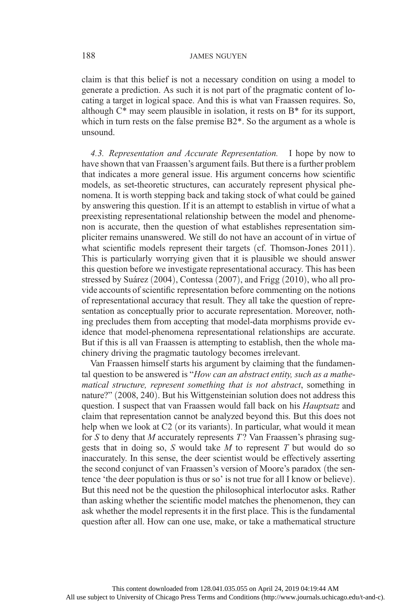claim is that this belief is not a necessary condition on using a model to generate a prediction. As such it is not part of the pragmatic content of locating a target in logical space. And this is what van Fraassen requires. So, although  $C^*$  may seem plausible in isolation, it rests on  $B^*$  for its support, which in turn rests on the false premise B2\*. So the argument as a whole is unsound.

4.3. Representation and Accurate Representation. I hope by now to have shown that van Fraassen's argument fails. But there is a further problem that indicates a more general issue. His argument concerns how scientific models, as set-theoretic structures, can accurately represent physical phenomena. It is worth stepping back and taking stock of what could be gained by answering this question. If it is an attempt to establish in virtue of what a preexisting representational relationship between the model and phenomenon is accurate, then the question of what establishes representation simpliciter remains unanswered. We still do not have an account of in virtue of what scientific models represent their targets  $(cf.$  Thomson-Jones  $2011$ ). This is particularly worrying given that it is plausible we should answer this question before we investigate representational accuracy. This has been stressed by Suárez  $(2004)$ , Contessa  $(2007)$ , and Frigg  $(2010)$ , who all provide accounts of scientific representation before commenting on the notions of representational accuracy that result. They all take the question of representation as conceptually prior to accurate representation. Moreover, nothing precludes them from accepting that model-data morphisms provide evidence that model-phenomena representational relationships are accurate. But if this is all van Fraassen is attempting to establish, then the whole machinery driving the pragmatic tautology becomes irrelevant.

Van Fraassen himself starts his argument by claiming that the fundamental question to be answered is "How can an abstract entity, such as a mathematical structure, represent something that is not abstract, something in nature?" (2008, 240). But his Wittgensteinian solution does not address this question. I suspect that van Fraassen would fall back on his *Hauptsatz* and claim that representation cannot be analyzed beyond this. But this does not help when we look at  $C2$  (or its variants). In particular, what would it mean for S to deny that M accurately represents  $T$ ? Van Fraassen's phrasing suggests that in doing so, S would take  $M$  to represent  $T$  but would do so inaccurately. In this sense, the deer scientist would be effectively asserting the second conjunct of van Fraassen's version of Moore's paradox (the sentence 'the deer population is thus or so' is not true for all I know or believe). But this need not be the question the philosophical interlocutor asks. Rather than asking whether the scientific model matches the phenomenon, they can ask whether the model represents it in the first place. This is the fundamental question after all. How can one use, make, or take a mathematical structure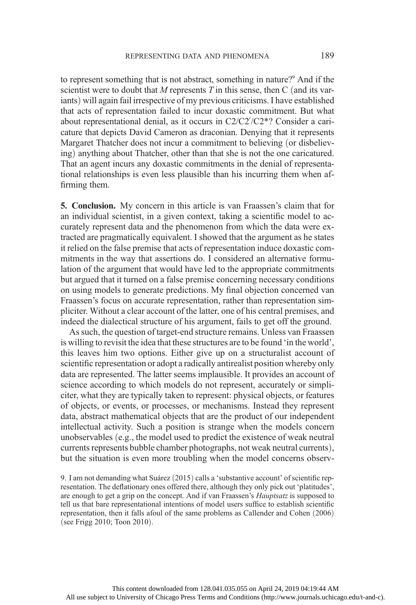to represent something that is not abstract, something in nature?<sup>9</sup> And if the scientist were to doubt that M represents T in this sense, then C (and its variants) will again fail irrespective of my previous criticisms. I have established that acts of representation failed to incur doxastic commitment. But what about representational denial, as it occurs in  $C2/C2'/C2$ <sup>\*</sup>? Consider a caricature that depicts David Cameron as draconian. Denying that it represents Margaret Thatcher does not incur a commitment to believing (or disbelieving) anything about Thatcher, other than that she is not the one caricatured. That an agent incurs any doxastic commitments in the denial of representational relationships is even less plausible than his incurring them when affirming them.

5. Conclusion. My concern in this article is van Fraassen's claim that for an individual scientist, in a given context, taking a scientific model to accurately represent data and the phenomenon from which the data were extracted are pragmatically equivalent. I showed that the argument as he states it relied on the false premise that acts of representation induce doxastic commitments in the way that assertions do. I considered an alternative formulation of the argument that would have led to the appropriate commitments but argued that it turned on a false premise concerning necessary conditions on using models to generate predictions. My final objection concerned van Fraassen's focus on accurate representation, rather than representation simpliciter. Without a clear account of the latter, one of his central premises, and indeed the dialectical structure of his argument, fails to get off the ground.

As such, the question of target-end structure remains. Unless van Fraassen is willing to revisit the idea that these structures are to be found 'in the world', this leaves him two options. Either give up on a structuralist account of scientific representation or adopt a radically antirealist position whereby only data are represented. The latter seems implausible. It provides an account of science according to which models do not represent, accurately or simpliciter, what they are typically taken to represent: physical objects, or features of objects, or events, or processes, or mechanisms. Instead they represent data, abstract mathematical objects that are the product of our independent intellectual activity. Such a position is strange when the models concern unobservables (e.g., the model used to predict the existence of weak neutral currents represents bubble chamber photographs, not weak neutral currents), but the situation is even more troubling when the model concerns observ-

9. I am not demanding what Suárez (2015) calls a 'substantive account' of scientific representation. The deflationary ones offered there, although they only pick out 'platitudes', are enough to get a grip on the concept. And if van Fraassen's *Hauptsatz* is supposed to tell us that bare representational intentions of model users suffice to establish scientific representation, then it falls afoul of the same problems as Callender and Cohen (2006) (see Frigg 2010; Toon 2010).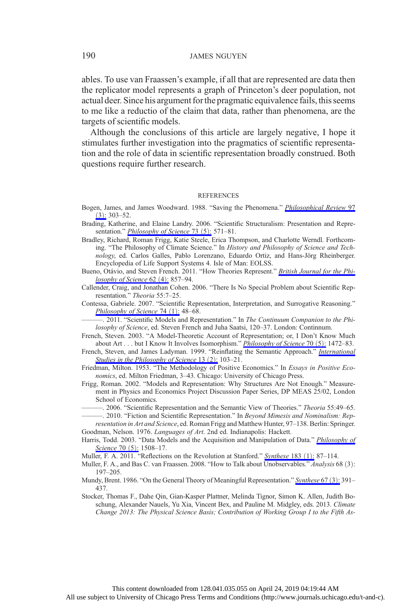ables. To use van Fraassen's example, if all that are represented are data then the replicator model represents a graph of Princeton's deer population, not actual deer. Since his argument for the pragmatic equivalence fails, this seems to me like a reductio of the claim that data, rather than phenomena, are the targets of scientific models.

Although the conclusions of this article are largely negative, I hope it stimulates further investigation into the pragmatics of scientific representation and the role of data in scientific representation broadly construed. Both questions require further research.

#### **REFERENCES**

- Bogen, James, and James Woodward. 1988. "Saving the Phenomena." [Philosophical Review](https://www.journals.uchicago.edu/action/showLinks?doi=10.1086%2F684959&crossref=10.2307%2F2185445&citationId=p_10) 97  $(3)$  $(3)$  $(3)$ : 303–52.
- Brading, Katherine, and Elaine Landry. 2006. "Scientific Structuralism: Presentation and Representation." *[Philosophy of Science](https://www.journals.uchicago.edu/action/showLinks?doi=10.1086%2F684959&system=10.1086%2F518327&citationId=p_11)* 73  $(5)$ : 571–81.
- Bradley, Richard, Roman Frigg, Katie Steele, Erica Thompson, and Charlotte Werndl. Forthcoming. "The Philosophy of Climate Science." In History and Philosophy of Science and Technology, ed. Carlos Galles, Pablo Lorenzano, Eduardo Ortiz, and Hans-Jörg Rheinberger. Encyclopedia of Life Support Systems 4. Isle of Man: EOLSS.
- Bueno, Otávio, and Steven French. 2011. "How Theories Represent." [British Journal for the Phi](https://www.journals.uchicago.edu/action/showLinks?doi=10.1086%2F684959&crossref=10.1093%2Fbjps%2Faxr010&citationId=p_13)[losophy of Science](https://www.journals.uchicago.edu/action/showLinks?doi=10.1086%2F684959&crossref=10.1093%2Fbjps%2Faxr010&citationId=p_13) 62 (4): 857-94.
- Callender, Craig, and Jonathan Cohen. 2006. "There Is No Special Problem about Scientific Representation." Theoria 55:7–25.
- Contessa, Gabriele. 2007. "Scientific Representation, Interpretation, and Surrogative Reasoning." [Philosophy of Science](https://www.journals.uchicago.edu/action/showLinks?doi=10.1086%2F684959&system=10.1086%2F519478&citationId=p_15)  $74$   $(1)$ : 48–68.

———. 2011. "Scientific Models and Representation." In The Continuum Companion to the Philosophy of Science, ed. Steven French and Juha Saatsi, 120–37. London: Continnum.

- French, Steven. 2003. "A Model-Theoretic Account of Representation; or, I Don't Know Much about Art . . . but I Know It Involves Isomorphism." *[Philosophy of Science](https://www.journals.uchicago.edu/action/showLinks?doi=10.1086%2F684959&system=10.1086%2F377423&citationId=p_17)* 70 (5): 1472–83.
- French, Steven, and James Ladyman. 1999. "Reinflating the Semantic Approach." *[International](https://www.journals.uchicago.edu/action/showLinks?doi=10.1086%2F684959&crossref=10.1080%2F02698599908573612&citationId=p_18)* [Studies in the Philosophy of Science](https://www.journals.uchicago.edu/action/showLinks?doi=10.1086%2F684959&crossref=10.1080%2F02698599908573612&citationId=p_18) 13 (2): 103-21.
- Friedman, Milton. 1953. "The Methodology of Positive Economics." In Essays in Positive Economics, ed. Milton Friedman, 3–43. Chicago: University of Chicago Press.
- Frigg, Roman. 2002. "Models and Representation: Why Structures Are Not Enough." Measurement in Physics and Economics Project Discussion Paper Series, DP MEAS 25/02, London School of Economics.
	- ———. 2006. "Scientific Representation and the Semantic View of Theories." Theoria 55:49–65. -. 2010. "Fiction and Scientific Representation." In Beyond Mimesis and Nominalism: Rep-

resentation in Art and Science, ed. Roman Frigg and Matthew Hunter, 97–138. Berlin: Springer. Goodman, Nelson. 1976. Languages of Art. 2nd ed. Indianapolis: Hackett.

Harris, Todd. 2003. "Data Models and the Acquisition and Manipulation of Data." *[Philosophy of](https://www.journals.uchicago.edu/action/showLinks?doi=10.1086%2F684959&system=10.1086%2F377426&citationId=p_24)* [Science](https://www.journals.uchicago.edu/action/showLinks?doi=10.1086%2F684959&system=10.1086%2F377426&citationId=p_24) 70 (5): 1508-17.

- Muller, F. A. 2011. "Reflections on the Revolution at Stanford." *[Synthese](https://www.journals.uchicago.edu/action/showLinks?doi=10.1086%2F684959&crossref=10.1007%2Fs11229-009-9669-7&citationId=p_25)* 183 (1): 87–114.
- Muller, F. A., and Bas C. van Fraassen. 2008. "How to Talk about Unobservables." Analysis 68 (3): 197–205.
- Mundy, Brent. 1986. "On the General Theory of Meaningful Representation." [Synthese](https://www.journals.uchicago.edu/action/showLinks?doi=10.1086%2F684959&crossref=10.1007%2FBF00485942&citationId=p_27) 67 (3): 391-437.
- Stocker, Thomas F., Dahe Qin, Gian-Kasper Plattner, Melinda Tignor, Simon K. Allen, Judith Boschung, Alexander Nauels, Yu Xia, Vincent Bex, and Pauline M. Midgley, eds. 2013. Climate Change 2013: The Physical Science Basis; Contribution of Working Group I to the Fifth As-